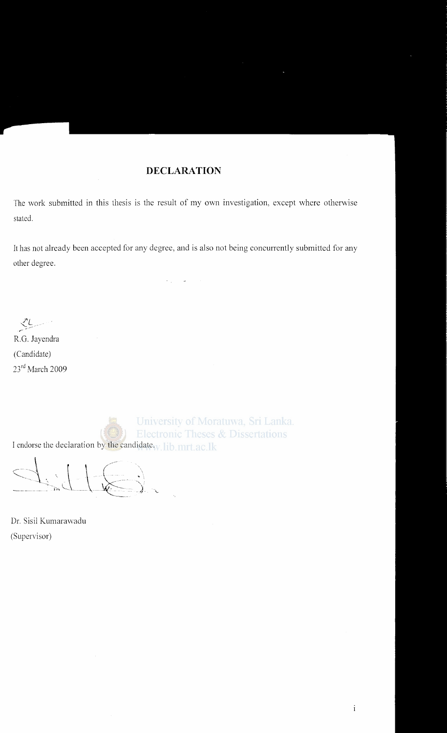#### **DECLARATION**

The work submitted in this thesis is the result of my own investigation, except where otherwise stated.

It has not already been accepted for any degree, and is also not being concurrently submitted for any other degree.

*PL '-/ r-*

R.G. Jayendra (Candidate) 23<sup>rd</sup> March 2009

University of Moratuwa, Sri Lanka. **Electronic Theses & Dissertations**  $(\{\infty\})$ I endorse the declaration by the candidate. lib. mrt.ac.lk

 $\frac{1}{2}$  ,  $\frac{1}{2}$ ~- - - \ - - \ -~-  $-+1$  $\int_{-\infty}^{\infty}$ 

Dr. Sisil Kumarawadu (Supervisor)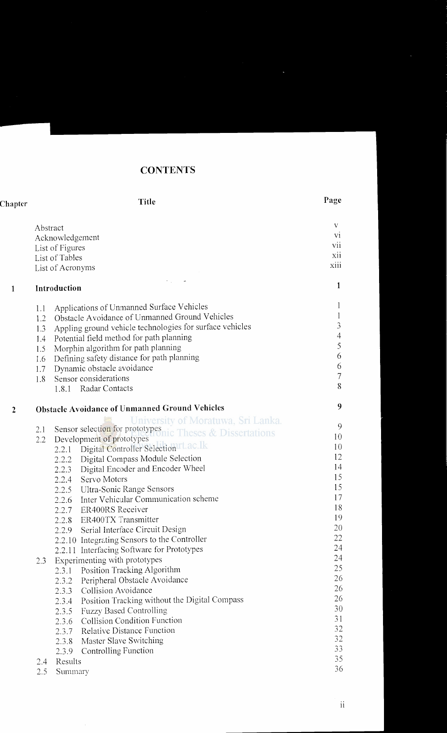## **CONTENTS**

| Page |
|------|
|      |

| Abstract                           |                |                                                           | V<br>V1        |  |  |
|------------------------------------|----------------|-----------------------------------------------------------|----------------|--|--|
| Acknowledgement<br>List of Figures |                |                                                           |                |  |  |
|                                    | List of Tables |                                                           | xii            |  |  |
| List of Acronyms                   |                |                                                           |                |  |  |
|                                    | Introduction   |                                                           | 1              |  |  |
|                                    |                |                                                           |                |  |  |
| 1.1                                |                | Applications of Unmanned Surface Vehicles                 | $\perp$        |  |  |
| 1.2                                |                | Obstacle Avoidance of Unmanned Ground Vehicles            | $\mathbf{1}$   |  |  |
| 1.3                                |                | Appling ground vehicle technologies for surface vehicles  | $\mathfrak{Z}$ |  |  |
| 1.4                                |                | Potential field method for path planning                  | $\overline{4}$ |  |  |
| 1.5 <sub>1</sub>                   |                | Morphin algorithm for path planning                       | 5              |  |  |
| 1.6                                |                | Defining safety distance for path planning                | 6              |  |  |
| 1.7                                |                | Dynamic obstacle avoidance                                | 6              |  |  |
| 1.8                                |                | Sensor considerations                                     | $\overline{7}$ |  |  |
|                                    |                | 1.8.1 Radar Contacts                                      | 8              |  |  |
|                                    |                | <b>Obstacle Avoidance of Unmanned Ground Vehicles</b>     | 9              |  |  |
|                                    |                | University of Moratuwa, Sri Lanka.                        |                |  |  |
| 2.1                                |                | Sensor selection for prototypes<br>Theses & Dissertations | 9              |  |  |
| 2.2                                |                | Development of prototypes                                 | 10             |  |  |
|                                    | 2.2.1          | Digital Controller Selection rt.ac.lk                     | 10             |  |  |
|                                    | 2.2.2          | Digital Compass Module Selection                          | 12             |  |  |
|                                    | 2.2.3          | Digital Encoder and Encoder Wheel                         | 14             |  |  |
|                                    | 2.2.4          | Servo Motors                                              | 15             |  |  |
|                                    |                | 2.2.5 Ultra-Sonic Range Sensors                           | 15             |  |  |
|                                    | 2.2.6          | Inter Vehicular Communication scheme                      | 17             |  |  |
|                                    | 2.2.7          | <b>ER400RS</b> Receiver                                   | 18             |  |  |
|                                    |                | 2.2.8 ER400TX Transmitter                                 | 19             |  |  |
|                                    |                | 2.2.9 Serial Interface Circuit Design                     | 20             |  |  |
|                                    |                | 2.2.10 Integrating Sensors to the Controller              | 22             |  |  |
|                                    |                | 2.2.11 Interfacing Software for Prototypes                | 24             |  |  |
| 2.3                                |                | Experimenting with prototypes                             | 24             |  |  |
|                                    | 2.3.1          | Position Tracking Algorithm                               | 25             |  |  |
|                                    | 2.3.2          | Peripheral Obstacle Avoidance                             | 26             |  |  |
|                                    | 2.3.3          | Collision Avoidance                                       | 26             |  |  |
|                                    | 2.3.4          | Position Tracking without the Digital Compass             | 26             |  |  |
|                                    | 2.3.5          | <b>Fuzzy Based Controlling</b>                            | 30             |  |  |
|                                    | 2.3.6          | Collision Condition Function                              | 31             |  |  |
|                                    | 2.3.7          | <b>Relative Distance Function</b>                         | 32             |  |  |
|                                    | 2.3.8          | Master Slave Switching                                    | 32             |  |  |
|                                    | 2.3.9          | Controlling Function                                      | 33             |  |  |
| 2.4                                | Results        |                                                           | 35             |  |  |
| 2.5                                | Summary        |                                                           | 36             |  |  |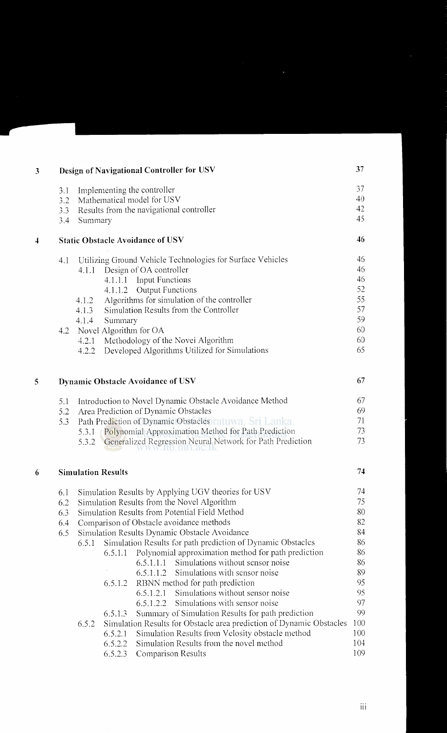| 3                       |                                                                                      |                                               |                           | Design of Navigational Controller for USV                                                                        | 37         |  |
|-------------------------|--------------------------------------------------------------------------------------|-----------------------------------------------|---------------------------|------------------------------------------------------------------------------------------------------------------|------------|--|
|                         | 3.1                                                                                  |                                               |                           | Implementing the controller                                                                                      | 37         |  |
|                         | Mathematical model for USV<br>3.2<br>Results from the navigational controller<br>3.3 |                                               |                           |                                                                                                                  | 40         |  |
|                         |                                                                                      |                                               |                           |                                                                                                                  | 42<br>45   |  |
|                         | 3.4<br>Summary                                                                       |                                               |                           |                                                                                                                  |            |  |
| $\overline{\mathbf{4}}$ |                                                                                      |                                               |                           | <b>Static Obstacle Avoidance of USV</b>                                                                          | 46         |  |
|                         | 4.1                                                                                  |                                               |                           | Utilizing Ground Vehicle Technologies for Surface Vehicles                                                       | 46         |  |
|                         |                                                                                      | 4.1.1                                         |                           | Design of OA controller                                                                                          | 46         |  |
|                         |                                                                                      |                                               |                           | 4.1.1.1 Input Functions                                                                                          | 46         |  |
|                         |                                                                                      |                                               |                           | 4.1.1.2 Output Functions                                                                                         | 52<br>55   |  |
|                         |                                                                                      | 4.1.2<br>4.1.3                                |                           | Algorithms for simulation of the controller<br>Simulation Results from the Controller                            | 57         |  |
|                         |                                                                                      | 4.1.4                                         | Summary                   |                                                                                                                  | 59         |  |
|                         | 4.2                                                                                  |                                               | Novel Algorithm for OA    |                                                                                                                  | 60         |  |
|                         |                                                                                      | 4.2.1                                         |                           | Methodology of the Novel Algorithm                                                                               | 60         |  |
|                         |                                                                                      | 4.2.2                                         |                           | Developed Algorithms Utilized for Simulations                                                                    | 65         |  |
| 5                       |                                                                                      |                                               |                           | <b>Dynamic Obstacle Avoidance of USV</b>                                                                         | 67         |  |
|                         | 5.1                                                                                  |                                               |                           | Introduction to Novel Dynamic Obstacle Avoidance Method                                                          | 67         |  |
|                         | 5.2                                                                                  |                                               |                           | Area Prediction of Dynamic Obstacles                                                                             | 69         |  |
|                         | 5.3                                                                                  |                                               |                           | Path Prediction of Dynamic Obstacles ratuwa, Sri Lanka.                                                          | 71         |  |
|                         |                                                                                      | 5.3.1<br>5.3.2                                |                           | Polynomial Approximation Method for Path Prediction<br>Generalized Regression Neural Network for Path Prediction | 73<br>73   |  |
| 6                       |                                                                                      |                                               | <b>Simulation Results</b> |                                                                                                                  | 74         |  |
|                         | 6.1                                                                                  |                                               |                           | Simulation Results by Applying UGV theories for USV                                                              | 74         |  |
|                         | 6.2                                                                                  |                                               |                           | Simulation Results from the Novel Algorithm                                                                      | 75         |  |
|                         | 6.3                                                                                  |                                               |                           | Simulation Results from Potential Field Method                                                                   | 80         |  |
|                         | 6.4                                                                                  | Comparison of Obstacle avoidance methods      |                           |                                                                                                                  |            |  |
|                         | 6.5                                                                                  | Simulation Results Dynamic Obstacle Avoidance |                           |                                                                                                                  |            |  |
|                         |                                                                                      | 6.5.1                                         |                           | Simulation Results for path prediction of Dynamic Obstacles                                                      | 86         |  |
|                         |                                                                                      |                                               | 6.5.1.1                   | Polynomial approximation method for path prediction                                                              | 86         |  |
|                         |                                                                                      |                                               |                           | Simulations without sensor noise<br>6.5.1.1.1                                                                    | 86         |  |
|                         |                                                                                      |                                               |                           | Simulations with sensor noise<br>6.5.1.1.2                                                                       | 89         |  |
|                         |                                                                                      |                                               | 6.5.1.2                   | RBNN method for path prediction                                                                                  | 95         |  |
|                         |                                                                                      |                                               |                           | Simulations without sensor noise<br>6.5.1.2.1                                                                    | 95         |  |
|                         |                                                                                      |                                               |                           | Simulations with sensor noise<br>6.5.1.2.2                                                                       | 97         |  |
|                         |                                                                                      |                                               | 6.5.1.3                   | Summary of Simulation Results for path prediction                                                                | 99         |  |
|                         |                                                                                      | 6.5.2                                         |                           | Simulation Results for Obstacle area prediction of Dynamic Obstacles                                             | 100        |  |
|                         |                                                                                      |                                               | 6.5.2.1<br>6.5.2.2        | Simulation Results from Velosity obstacle method<br>Simulation Results from the novel method                     | 100<br>104 |  |
|                         |                                                                                      |                                               | 6.5.2.3                   | <b>Comparison Results</b>                                                                                        | 109        |  |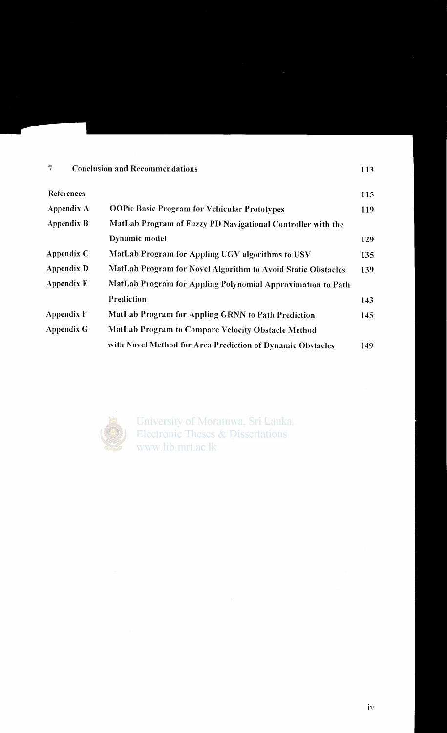### 7 Conclusion and Recommendations 113

| References |                                                              | 115 |
|------------|--------------------------------------------------------------|-----|
| Appendix A | <b>OOPic Basic Program for Vehicular Prototypes</b>          | 119 |
| Appendix B | MatLab Program of Fuzzy PD Navigational Controller with the  |     |
|            | Dynamic model                                                | 129 |
| Appendix C | MatLab Program for Appling UGV algorithms to USV             | 135 |
| Appendix D | MatLab Program for Novel Algorithm to Avoid Static Obstacles | 139 |
| Appendix E | MatLab Program for Appling Polynomial Approximation to Path  |     |
|            | Prediction                                                   | 143 |
| Appendix F | <b>MatLab Program for Appling GRNN to Path Prediction</b>    | 145 |
| Appendix G | MatLab Program to Compare Velocity Obstacle Method           |     |
|            | with Novel Method for Area Prediction of Dynamic Obstacles   | 149 |



 $\sim$ 

University of Moratuwa, Sri Lanka. **Electronic Theses & Dissertations** www.lib.mrt.ac.lk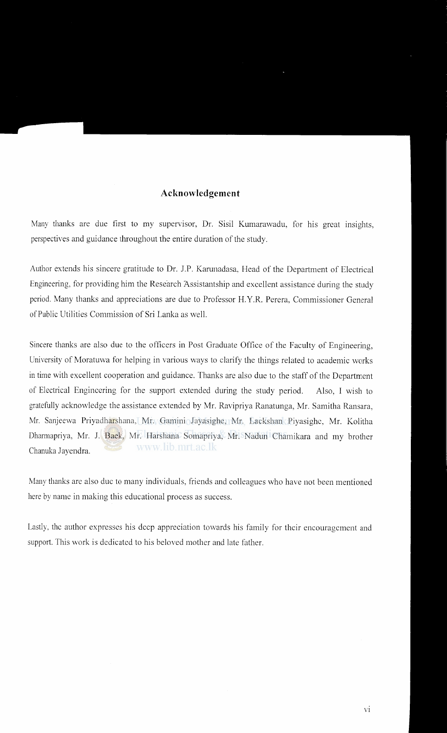#### **Acknowledgement**

Many thanks are due first to my supervisor, Dr. Sisil Kumarawadu, for his great insights, perspectives and guidance throughout the entire duration of the study.

Author extends his sincere gratitude to Dr. J.P. Karunadasa, Head of the Department of Electrical Engineering, for providing him the Research Assistantship and excellent assistance during the study period. Many thanks and appreciations are due to Professor H. Y.R. Perera, Commissioner General of Public Utilities Commission of Sri Lanka as well.

Sincere thanks are also due to the officers in Post Graduate Office of the Faculty of Engineering, University of Moratuwa for helping in various ways to clarify the things related to academic works in time with excellent cooperation and guidance. Thanks are also due to the staff of the Department of Electrical Engineering for the support extended during the study period. Also, I wish to gratefully acknowledge the assistance extended by Mr. Ravipriya Ranatunga, Mr. Samitha Ransara, Mr. Sanjeewa Priyadharshana, Mr. Gamini Jayasighe, Mr. Lackshan Piyasighe, Mr. Kolitha Dharmapriya, Mr. J. Back, Mr. Harshana Somapriya, Mr. Nadun Chamikara and my brother www.lib.mrt.ac.lk Chanuka Jayendra.

Many thanks are also due to many individuals, friends and colleagues who have not been mentioned here by name in making this educational process as success.

Lastly, the author expresses his deep appreciation towards his family for their encouragement and support. This work is dedicated to his beloved mother and late father.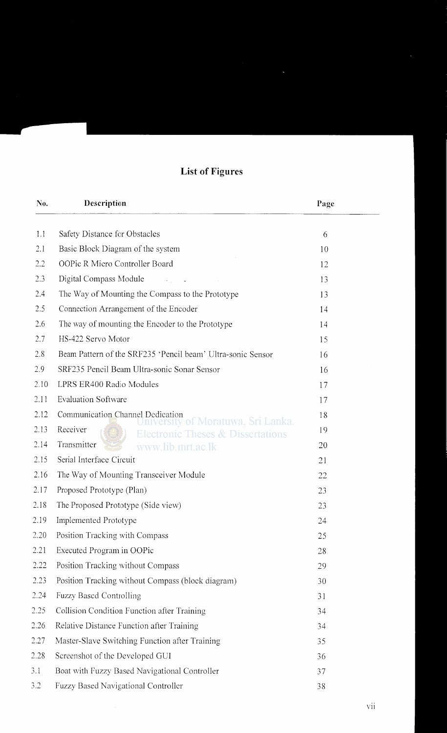# **List of Figures**

| No.  | Description                                                                         | Page |
|------|-------------------------------------------------------------------------------------|------|
| 1.1  | Safety Distance for Obstacles                                                       | 6    |
| 2.1  | Basic Block Diagram of the system                                                   | 10   |
| 2.2  | OOPic R Miero Controller Board                                                      | 12   |
| 2.3  | Digital Compass Module                                                              | 13   |
| 2.4  | The Way of Mounting the Compass to the Prototype                                    | 13   |
| 2.5  | Connection Arrangement of the Encoder                                               | 14   |
| 2.6  | The way of mounting the Encoder to the Prototype                                    | 14   |
| 2.7  | HS-422 Servo Motor                                                                  | 15   |
| 2.8  | Beam Pattern of the SRF235 'Pencil beam' Ultra-sonic Sensor                         | 16   |
| 2.9  | SRF235 Peneil Beam Ultra-sonic Sonar Sensor                                         | 16   |
| 2.10 | LPRS ER400 Radio Modules                                                            | 17   |
| 2.11 | <b>Evaluation Software</b>                                                          | 17   |
| 2.12 | Communication Channel Dedication                                                    | 18   |
| 2.13 | of Moratuwa, Sri Lanka.<br>Receiver<br><b>Electronic Theses &amp; Dissertations</b> | 19   |
| 2.14 | Transmitter<br>www.lib.mrt.ac.lk                                                    | 20   |
| 2.15 | Serial Interface Circuit                                                            | 21   |
| 2.16 | The Way of Mounting Transceiver Module                                              | 22   |
| 2.17 | Proposed Prototype (Plan)                                                           | 23   |
| 2.18 | The Proposed Prototype (Side view)                                                  | 23   |
| 2.19 | Implemented Prototype                                                               | 24   |
| 2.20 | Position Tracking with Compass                                                      | 25   |
| 2.21 | Executed Program in OOPic                                                           | 28   |
| 2.22 | Position Tracking without Compass                                                   | 29   |
| 2.23 | Position Tracking without Compass (block diagram)                                   | 30   |
| 2.24 | <b>Fuzzy Based Controlling</b>                                                      | 31   |
| 2.25 | Collision Condition Function after Training                                         | 34   |
| 2.26 | Relative Distance Function after Training                                           | 34   |
| 2.27 | Master-Slave Switching Function after Training                                      | 35   |
| 2.28 | Screenshot of the Developed GUI                                                     | 36   |
| 3.1  | Boat with Fuzzy Based Navigational Controller                                       | 37   |
| 3.2  | <b>Fuzzy Based Navigational Controller</b>                                          | 38   |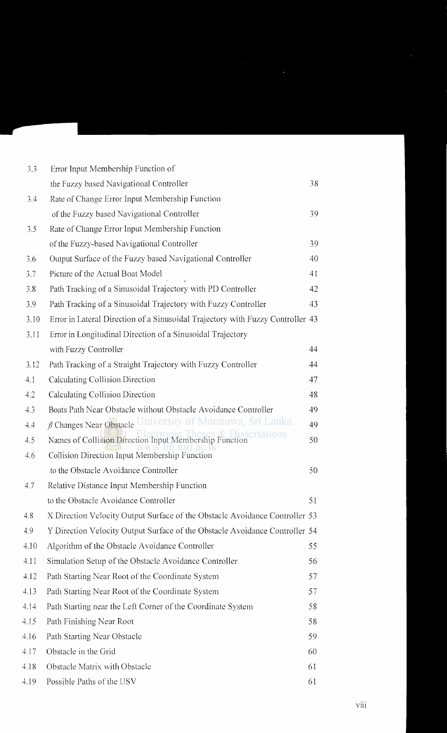| 3.3  | Error Input Membership Function of                                             |    |
|------|--------------------------------------------------------------------------------|----|
|      | the Fuzzy based Navigational Controller                                        | 38 |
| 3.4  | Rate of Change Error Input Membership Function                                 |    |
|      | of the Fuzzy based Navigational Controller                                     | 39 |
| 3.5  | Rate of Change Error Input Membership Function                                 |    |
|      | of the Fuzzy-based Navigational Controller                                     | 39 |
| 3.6  | Output Surface of the Fuzzy based Navigational Controller                      | 40 |
| 3.7  | Picture of the Actual Boat Model                                               | 41 |
| 3.8  | Path Tracking of a Sinusoidal Trajectory with PD Controller                    | 42 |
| 3.9  | Path Tracking of a Sinusoidal Trajectory with Fuzzy Controller                 | 43 |
| 3.10 | Error in Lateral Direction of a Sinusoidal Trajectory with Fuzzy Controller 43 |    |
| 3.11 | Error in Longitudinal Direction of a Sinusoidal Trajectory                     |    |
|      | with Fuzzy Controller                                                          | 44 |
| 3.12 | Path Tracking of a Straight Trajectory with Fuzzy Controller                   | 44 |
| 4.1  | Calculating Collision Direction                                                | 47 |
| 4.2  | Calculating Collision Direction                                                | 48 |
| 4.3  | Boats Path Near Obstacle without Obstacle Avoidance Controller                 | 49 |
| 4,4  | B Changes Near Obstacle University of Moratuwa, Sri Lanka.                     | 49 |
| 4.5  | sertations<br>Names of Collision Direction Input Membership Function           | 50 |
| 4.6  | Collision Direction Input Membership Function                                  |    |
|      | to the Obstacle Avoidance Controller                                           | 50 |
| 4.7  | Relative Distance Input Membership Function                                    |    |
|      | to the Obstacle Avoidance Controller                                           | 51 |
| 4.8  | X Direction Velocity Output Surface of the Obstacle Avoidance Controller 53    |    |
| 4.9  | Y Direction Velocity Output Surface of the Obstacle Avoidance Controller 54    |    |
| 4.10 | Algorithm of the Obstacle Avoidance Controller                                 | 55 |
| 4.11 | Simulation Setup of the Obstacle Avoidance Controller                          | 56 |
| 4.12 | Path Starting Near Root of the Coordinate System                               | 57 |
| 4.13 | Path Starting Near Root of the Coordinate System                               | 57 |
| 4.14 | Path Starting near the Left Corner of the Coordinate System                    | 58 |
| 4.15 | Path Finishing Near Root                                                       | 58 |
| 4.16 | Path Starting Near Obstacle                                                    | 59 |
| 4.17 | Obstacle in the Grid                                                           | 60 |
| 4.18 | Obstacle Matrix with Obstacle                                                  | 61 |
| 4.19 | Possible Paths of the USV                                                      | 61 |

 $\sim 10^{-1}$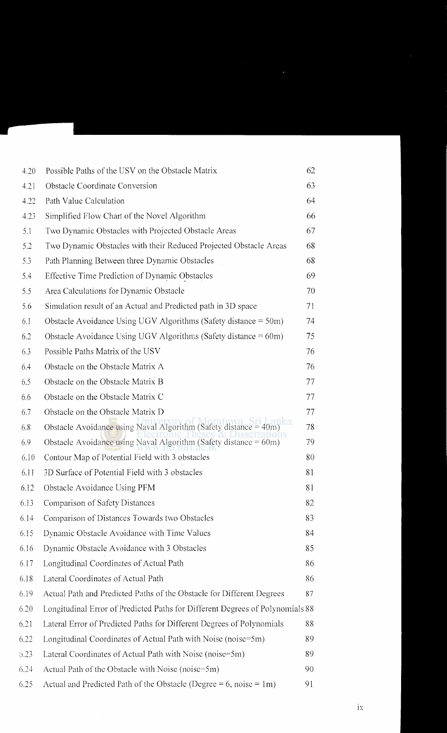| 4.20 | Possible Paths of the USV on the Obstacle Matrix                              | 62 |
|------|-------------------------------------------------------------------------------|----|
| 4.21 | Obstacle Coordinate Conversion                                                | 63 |
| 4.22 | Path Value Calculation                                                        | 64 |
| 4.23 | Simplified Flow Chart of the Novel Algorithm                                  | 66 |
| 5.1  | Two Dynamic Obstacles with Projected Obstacle Areas                           | 67 |
| 5.2  | Two Dynamic Obstacles with their Reduced Projected Obstacle Areas             | 68 |
| 5.3  | Path Planning Between three Dynamic Obstacles                                 | 68 |
| 5.4  | Effective Time Prediction of Dynamic Obstacles                                | 69 |
| 5.5  | Area Calculations for Dynamic Obstacle                                        | 70 |
| 5.6  | Simulation result of an Actual and Predicted path in 3D space                 | 71 |
| 6.1  | Obstacle Avoidance Using UGV Algorithms (Safety distance $= 50m$ )            | 74 |
| 6.2  | Obstacle Avoidance Using UGV Algorithms (Safety distance $= 60$ m)            | 75 |
| 6.3  | Possible Paths Matrix of the USV                                              | 76 |
| 6.4  | Obstacle on the Obstacle Matrix A                                             | 76 |
| 6.5  | Obstacle on the Obstacle Matrix B                                             | 77 |
| 6.6  | Obstacle on the Obstacle Matrix C                                             | 77 |
| 6.7  | Obstacle on the Obstacle Matrix D                                             | 77 |
| 6.8  | Obstacle Avoidance using Naval Algorithm (Safety distance = 40m               | 78 |
| 6.9  | Obstacle Avoidance using Naval Algorithm (Safety distance $= 60m$ )           | 79 |
| 6.10 | Contour Map of Potential Field with 3 obstacles                               | 80 |
| 6.11 | 3D Surface of Potential Field with 3 obstacles                                | 81 |
| 6.12 | Obstacle Avoidance Using PFM                                                  | 81 |
| 6.13 | Comparison of Safety Distances                                                | 82 |
| 6.14 | Comparison of Distances Towards two Obstacles                                 | 83 |
| 6.15 | Dynamic Obstacle Avoidance with Time Values                                   | 84 |
| 6.16 | Dynamic Obstacle Avoidance with 3 Obstacles                                   | 85 |
| 6.17 | Longitudinal Coordinates of Actual Path                                       | 86 |
| 6.18 | Lateral Coordinates of Actual Path                                            | 86 |
| 6.19 | Actual Path and Predicted Paths of the Obstacle for Different Degrees         | 87 |
| 6.20 | Longitudinal Error of Predicted Paths for Different Degrees of Polynomials 88 |    |
| 6.21 | Lateral Error of Predicted Paths for Different Degrees of Polynomials         | 88 |
| 6.22 | Longitudinal Coordinates of Actual Path with Noise (noise=5m)                 | 89 |
| 6.23 | Lateral Coordinates of Actual Path with Noise (noise=5m)                      | 89 |
| 6.24 | Actual Path of the Obstacle with Noise (noise=5m)                             | 90 |
| 6.25 | Actual and Predicted Path of the Obstacle (Degree = 6, noise = $1m$ )         | 91 |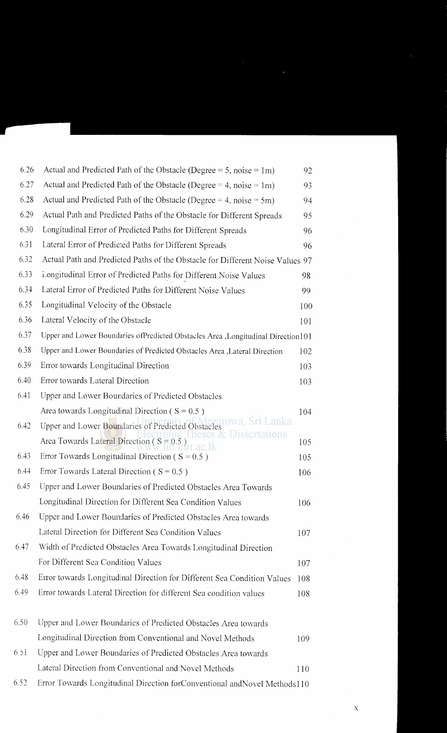| 6.26 | Actual and Predicted Path of the Obstacle (Degree = 5, noise = 1m)               | 92  |  |
|------|----------------------------------------------------------------------------------|-----|--|
| 6.27 | Actual and Predicted Path of the Obstacle (Degree = 4, noise = $1m$ )            |     |  |
| 6.28 | Actual and Predicted Path of the Obstacle (Degree = 4, noise = 5m)               |     |  |
| 6.29 | Actual Path and Predicted Paths of the Obstacle for Different Spreads            |     |  |
| 6.30 | Longitudinal Error of Predicted Paths for Different Spreads                      | 96  |  |
| 6.31 | Lateral Error of Predicted Paths for Different Spreads                           | 96  |  |
| 6.32 | Actual Path and Predicted Paths of the Obstacle for Different Noise Values 97    |     |  |
| 6.33 | Longitudinal Error of Predicted Paths for Different Noise Values                 | 98  |  |
| 6.34 | Lateral Error of Predicted Paths for Different Noise Values                      | 99  |  |
| 6.35 | Longitudinal Velocity of the Obstacle                                            | 100 |  |
| 6.36 | Lateral Velocity of the Obstacle                                                 | 101 |  |
| 6.37 | Upper and Lower Boundaries ofPredicted Obstacles Area ,Longitudinal Direction101 |     |  |
| 6.38 | Upper and Lower Boundaries of Predicted Obstacles Area , Lateral Direction       | 102 |  |
| 6.39 | Error towards Longitudinal Direction                                             | 103 |  |
| 6.40 | Error towards Lateral Direction                                                  | 103 |  |
| 6.41 | Upper and Lower Boundaries of Predicted Obstacles                                |     |  |
|      | Area towards Longitudinal Direction ( $S = 0.5$ )                                | 104 |  |
| 6.42 | uwa. Sri Lanka.<br>Upper and Lower Boundaries of Predicted Obstacles             |     |  |
|      | Dissertations<br>Area Towards Lateral Direction ( $S = 0.5$ )                    | 105 |  |
| 6.43 | Error Towards Longitudinal Direction ( $S = 0.5$ )                               | 105 |  |
| 6.44 | Error Towards Lateral Direction ( $S = 0.5$ )                                    | 106 |  |
| 6.45 | Upper and Lower Boundaries of Predicted Obstacles Area Towards                   |     |  |
|      | Longitudinal Direction for Different Sea Condition Values                        | 106 |  |
| 6.46 | Upper and Lower Boundaries of Predicted Obstacles Area towards                   |     |  |
|      | Lateral Direction for Different Sea Condition Values                             | 107 |  |
| 6.47 | Width of Predicted Obstacles Area Towards Longitudinal Direction                 |     |  |
|      | For Different Sea Condition Values                                               | 107 |  |
| 6.48 | Error towards Longitudinal Direction for Different Sea Condition Values          | 108 |  |
| 6.49 | Error towards Lateral Direction for different Sea condition values               | 108 |  |
| 6.50 | Upper and Lower Boundaries of Predicted Obstacles Area towards                   |     |  |
|      | Longitudinal Direction from Conventional and Novel Methods                       | 109 |  |
| 6.51 | Upper and Lower Boundaries of Predicted Obstacles Area towards                   |     |  |
|      | Lateral Direction from Conventional and Novel Methods                            | 110 |  |
| 5.52 | Error Towards Longitudinal Direction forConventional andNovel Methods110         |     |  |

 $\hat{\boldsymbol{\beta}}$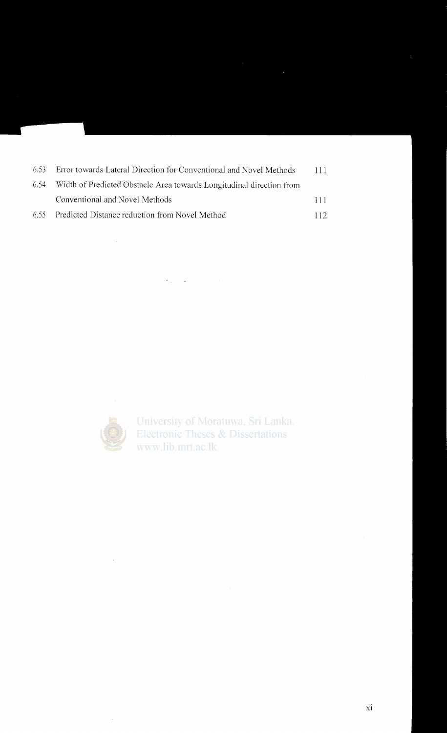| -6.53 | Error towards Lateral Direction for Conventional and Novel Methods   | 111  |
|-------|----------------------------------------------------------------------|------|
| 6.54  | Width of Predicted Obstacle Area towards Longitudinal direction from |      |
|       | Conventional and Novel Methods                                       | 111  |
| 6.55  | Predicted Distance reduction from Novel Method                       | 112. |

 $\omega_{\rm{max}}=1.5$  and  $\omega_{\rm{max}}$ 



 $\mathcal{A}^{\mathcal{A}}$ 

University of Moratuwa, Sri Lanka.<br>Electronic Theses & Dissertations www.lib.mrt.ac.lk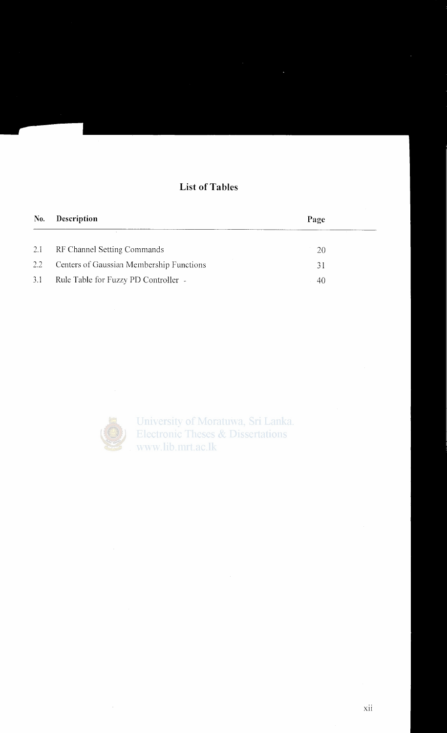## **List of Tables**

| No. | <b>Description</b>                       | Page |  |
|-----|------------------------------------------|------|--|
| 2.1 | RF Channel Setting Commands              | 20   |  |
| 2.2 | Centers of Gaussian Membership Functions | 31   |  |
| 3.1 | Rule Table for Fuzzy PD Controller -     | 40   |  |



 $\bar{z}$ 

University of Moratuwa, Sri Lanka.<br>Electronic Theses & Dissertations www.lib.mrt.ac.lk